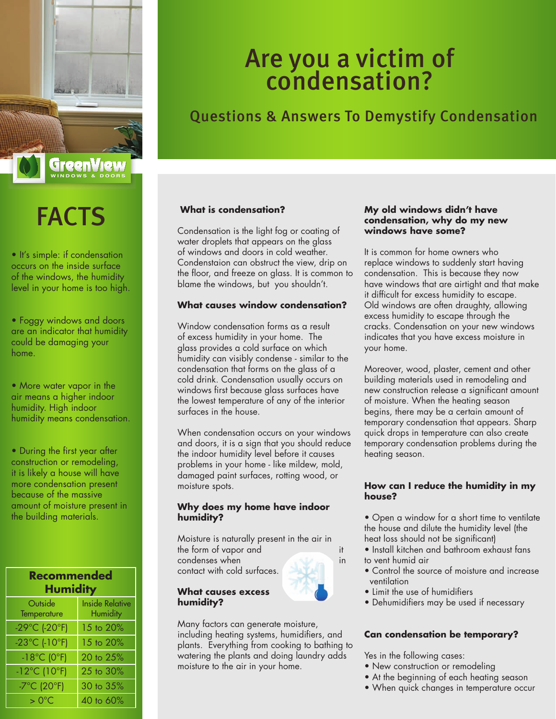

# FACTS

• It's simple: if condensation occurs on the inside surface of the windows, the humidity level in your home is too high.

• Foggy windows and doors are an indicator that humidity could be damaging your home.

• More water vapor in the air means a higher indoor humidity. High indoor humidity means condensation.

• During the first year after construction or remodeling, it is likely a house will have more condensation present because of the massive amount of moisture present in the building materials.

| Recommended<br><b>Humidity</b>     |                                           |
|------------------------------------|-------------------------------------------|
| Outside<br>Temperature             | <b>Inside Relative</b><br><b>Humidity</b> |
| -29°C (-20°F)                      | 15 to 20%                                 |
| $-23^{\circ}$ C (-10 $^{\circ}$ F) | 15 to 20%                                 |
| $-18^{\circ}$ C (0 $^{\circ}$ F)   | 20 to 25%                                 |
| $-12^{\circ}$ C (10 $^{\circ}$ F)  | 25 to 30%                                 |
| $-7^{\circ}$ C (20 $^{\circ}$ F)   | 30 to 35%                                 |
| $>0^{\circ}$ C                     | 40 to 60%                                 |

## Are you a victim of condensation?

### Questions & Answers To Demystify Condensation

### **What is condensation?**

Condensation is the light fog or coating of water droplets that appears on the glass of windows and doors in cold weather. Condenstaion can obstruct the view, drip on the floor, and freeze on glass. It is common to blame the windows, but you shouldn't.

### **What causes window condensation?**

Window condensation forms as a result of excess humidity in your home. The glass provides a cold surface on which humidity can visibly condense - similar to the condensation that forms on the glass of a cold drink. Condensation usually occurs on windows first because glass surfaces have the lowest temperature of any of the interior surfaces in the house.

When condensation occurs on your windows and doors, it is a sign that you should reduce the indoor humidity level before it causes problems in your home - like mildew, mold, damaged paint surfaces, rotting wood, or moisture spots.

### **Why does my home have indoor humidity?**

Moisture is naturally present in the air in the form of vapor and it

condenses when in in the state of the state of the state of the state of the state of the state of the state of the state of the state of the state of the state of the state of the state of the state of the state of the st contact with cold surfaces.

#### **What causes excess humidity?**

Many factors can generate moisture, including heating systems, humidifiers, and plants. Everything from cooking to bathing to watering the plants and doing laundry adds moisture to the air in your home.

### **My old windows didn't have condensation, why do my new windows have some?**

It is common for home owners who replace windows to suddenly start having condensation. This is because they now have windows that are airtight and that make it difficult for excess humidity to escape. Old windows are often draughty, allowing excess humidity to escape through the cracks. Condensation on your new windows indicates that you have excess moisture in your home.

Moreover, wood, plaster, cement and other building materials used in remodeling and new construction release a significant amount of moisture. When the heating season begins, there may be a certain amount of temporary condensation that appears. Sharp quick drops in temperature can also create temporary condensation problems during the heating season.

### **How can I reduce the humidity in my house?**

- Open a window for a short time to ventilate the house and dilute the humidity level (the heat loss should not be significant)
- Install kitchen and bathroom exhaust fans to vent humid air
- Control the source of moisture and increase ventilation
- Limit the use of humidifiers
- Dehumidifiers may be used if necessary

### **Can condensation be temporary?**

Yes in the following cases:

- New construction or remodeling
- At the beginning of each heating season
- When quick changes in temperature occur